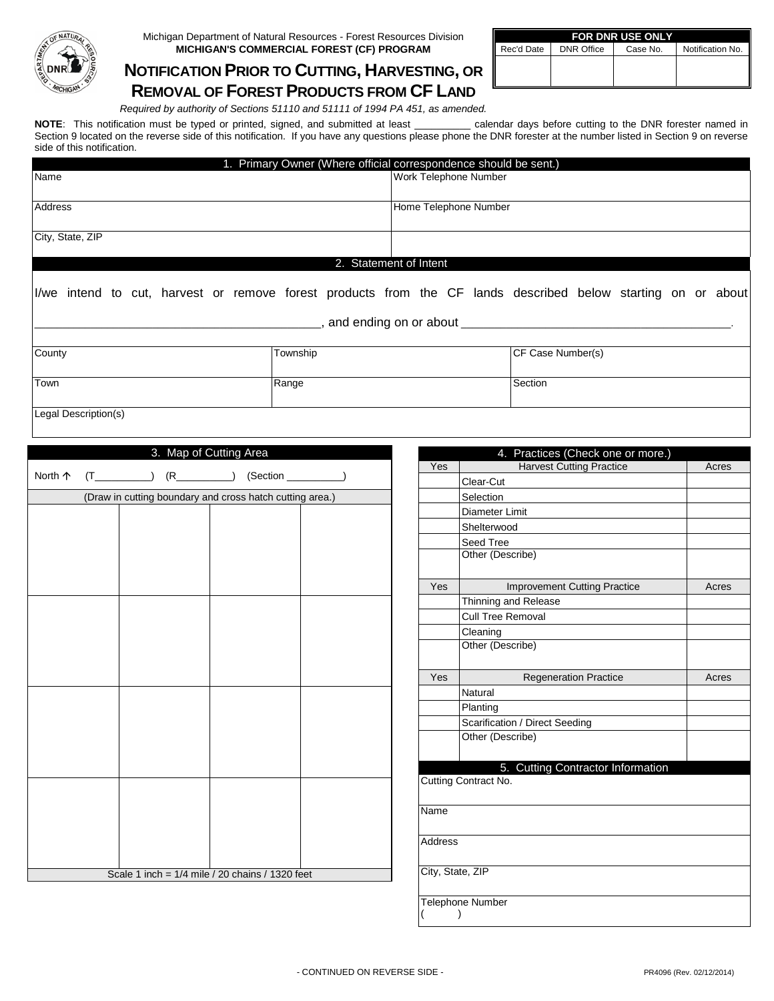

**NOTIFICATION PRIOR TO CUTTING, HARVESTING, OR REMOVAL OF FOREST PRODUCTS FROM CF LAND**

| <b>FOR DNR USE ONLY</b> |                   |          |                  |  |  |  |  |
|-------------------------|-------------------|----------|------------------|--|--|--|--|
| Rec'd Date              | <b>DNR Office</b> | Case No. | Notification No. |  |  |  |  |
|                         |                   |          |                  |  |  |  |  |
|                         |                   |          |                  |  |  |  |  |

*Required by authority of Sections 51110 and 51111 of 1994 PA 451, as amended.*

**NOTE**: This notification must be typed or printed, signed, and submitted at least \_\_\_\_\_\_\_\_\_\_ calendar days before cutting to the DNR forester named in Section 9 located on the reverse side of this notification. If you have any questions please phone the DNR forester at the number listed in Section 9 on reverse side of this notification.

|                                                                                                              | 1. Primary Owner (Where official correspondence should be sent.) |                        |                                       |                                     |       |
|--------------------------------------------------------------------------------------------------------------|------------------------------------------------------------------|------------------------|---------------------------------------|-------------------------------------|-------|
| Name                                                                                                         |                                                                  | Work Telephone Number  |                                       |                                     |       |
|                                                                                                              |                                                                  |                        |                                       |                                     |       |
| Address                                                                                                      |                                                                  | Home Telephone Number  |                                       |                                     |       |
| City, State, ZIP                                                                                             |                                                                  |                        |                                       |                                     |       |
|                                                                                                              |                                                                  | 2. Statement of Intent |                                       |                                     |       |
| I/we intend to cut, harvest or remove forest products from the CF lands described below starting on or about |                                                                  |                        |                                       |                                     |       |
|                                                                                                              |                                                                  |                        |                                       |                                     |       |
| County                                                                                                       | Township                                                         |                        | CF Case Number(s)                     |                                     |       |
| Range<br>Town                                                                                                |                                                                  | Section                |                                       |                                     |       |
| Legal Description(s)                                                                                         |                                                                  |                        |                                       |                                     |       |
|                                                                                                              |                                                                  |                        |                                       |                                     |       |
| 3. Map of Cutting Area                                                                                       |                                                                  |                        |                                       | 4. Practices (Check one or more.)   |       |
|                                                                                                              |                                                                  | Yes                    |                                       | <b>Harvest Cutting Practice</b>     | Acres |
| $(T$ ( $T$ $(R$ $(R$ $(Section$<br>North 个                                                                   |                                                                  |                        | Clear-Cut                             |                                     |       |
| (Draw in cutting boundary and cross hatch cutting area.)                                                     |                                                                  |                        | Selection                             |                                     |       |
|                                                                                                              |                                                                  |                        | Diameter Limit                        |                                     |       |
|                                                                                                              |                                                                  |                        | Shelterwood                           |                                     |       |
|                                                                                                              |                                                                  |                        | Seed Tree                             |                                     |       |
|                                                                                                              |                                                                  |                        | Other (Describe)                      |                                     |       |
|                                                                                                              |                                                                  | Yes                    |                                       | <b>Improvement Cutting Practice</b> | Acres |
|                                                                                                              |                                                                  |                        | Thinning and Release                  |                                     |       |
|                                                                                                              |                                                                  |                        | <b>Cull Tree Removal</b>              |                                     |       |
|                                                                                                              |                                                                  |                        | Cleaning                              |                                     |       |
|                                                                                                              |                                                                  |                        | Other (Describe)                      |                                     |       |
|                                                                                                              |                                                                  | Yes                    | <b>Regeneration Practice</b><br>Acres |                                     |       |
|                                                                                                              |                                                                  |                        | Natural                               |                                     |       |
|                                                                                                              |                                                                  |                        | Planting                              |                                     |       |
|                                                                                                              |                                                                  |                        | Scarification / Direct Seeding        |                                     |       |
|                                                                                                              |                                                                  |                        | Other (Describe)                      |                                     |       |
|                                                                                                              |                                                                  |                        |                                       | 5. Cutting Contractor Information   |       |
|                                                                                                              |                                                                  |                        | Cutting Contract No.                  |                                     |       |
|                                                                                                              |                                                                  |                        |                                       |                                     |       |
|                                                                                                              |                                                                  | Name                   |                                       |                                     |       |
|                                                                                                              |                                                                  | Address                |                                       |                                     |       |
| Scale 1 inch = $1/4$ mile / 20 chains / 1320 feet                                                            |                                                                  |                        | City, State, ZIP                      |                                     |       |
|                                                                                                              |                                                                  |                        |                                       |                                     |       |

Telephone Number ( )